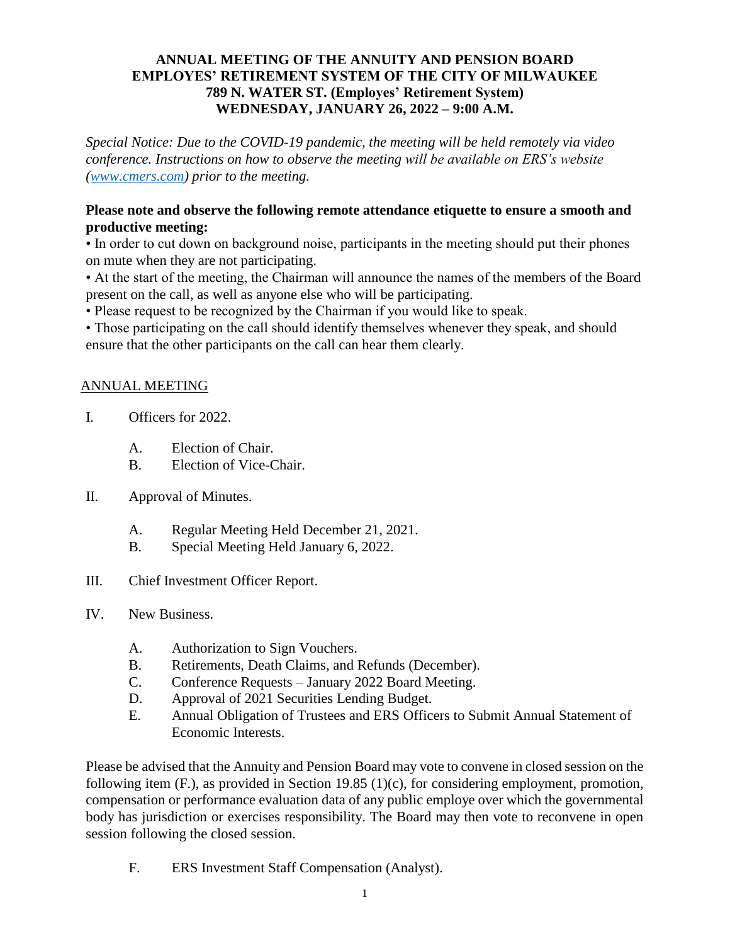## **ANNUAL MEETING OF THE ANNUITY AND PENSION BOARD EMPLOYES' RETIREMENT SYSTEM OF THE CITY OF MILWAUKEE 789 N. WATER ST. (Employes' Retirement System) WEDNESDAY, JANUARY 26, 2022 – 9:00 A.M.**

*Special Notice: Due to the COVID-19 pandemic, the meeting will be held remotely via video conference. Instructions on how to observe the meeting will be available on ERS's website [\(www.cmers.com\)](http://www.cmers.com/) prior to the meeting.*

## **Please note and observe the following remote attendance etiquette to ensure a smooth and productive meeting:**

• In order to cut down on background noise, participants in the meeting should put their phones on mute when they are not participating.

• At the start of the meeting, the Chairman will announce the names of the members of the Board present on the call, as well as anyone else who will be participating.

• Please request to be recognized by the Chairman if you would like to speak.

• Those participating on the call should identify themselves whenever they speak, and should ensure that the other participants on the call can hear them clearly.

## ANNUAL MEETING

- I. Officers for 2022.
	- A. Election of Chair.
	- B. Election of Vice-Chair.
- II. Approval of Minutes.
	- A. Regular Meeting Held December 21, 2021.
	- B. Special Meeting Held January 6, 2022.
- III. Chief Investment Officer Report.
- IV. New Business.
	- A. Authorization to Sign Vouchers.
	- B. Retirements, Death Claims, and Refunds (December).
	- C. Conference Requests January 2022 Board Meeting.
	- D. Approval of 2021 Securities Lending Budget.
	- E. Annual Obligation of Trustees and ERS Officers to Submit Annual Statement of Economic Interests.

Please be advised that the Annuity and Pension Board may vote to convene in closed session on the following item (F.), as provided in Section 19.85 (1)(c), for considering employment, promotion, compensation or performance evaluation data of any public employe over which the governmental body has jurisdiction or exercises responsibility. The Board may then vote to reconvene in open session following the closed session.

F. ERS Investment Staff Compensation (Analyst).